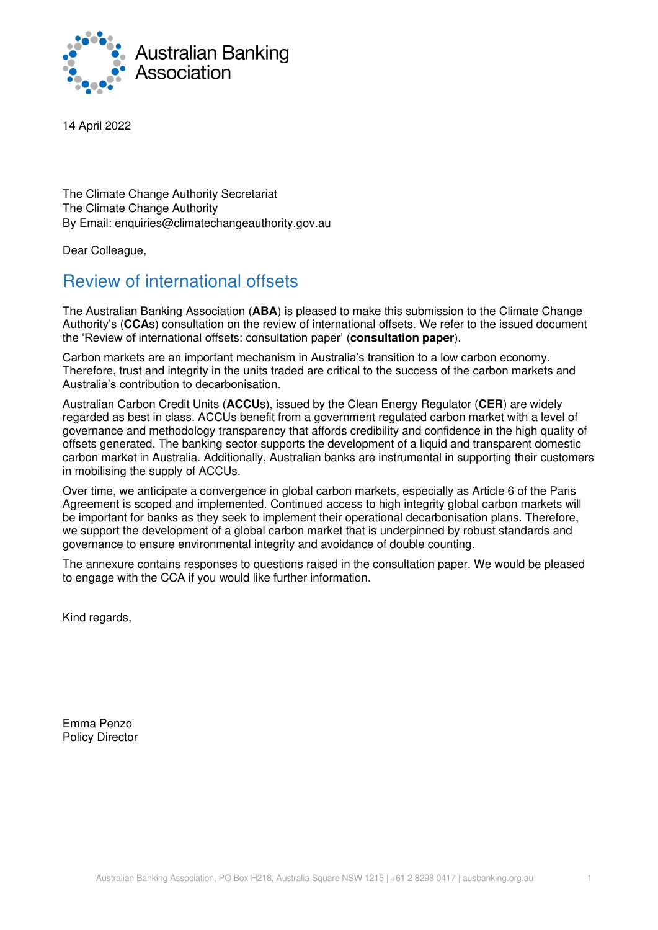

14 April 2022

The Climate Change Authority Secretariat The Climate Change Authority By Email: enquiries@climatechangeauthority.gov.au

Dear Colleague,

# Review of international offsets

The Australian Banking Association (**ABA**) is pleased to make this submission to the Climate Change Authority's (**CCA**s) consultation on the review of international offsets. We refer to the issued document the 'Review of international offsets: consultation paper' (**consultation paper**).

Carbon markets are an important mechanism in Australia's transition to a low carbon economy. Therefore, trust and integrity in the units traded are critical to the success of the carbon markets and Australia's contribution to decarbonisation.

Australian Carbon Credit Units (**ACCU**s), issued by the Clean Energy Regulator (**CER**) are widely regarded as best in class. ACCUs benefit from a government regulated carbon market with a level of governance and methodology transparency that affords credibility and confidence in the high quality of offsets generated. The banking sector supports the development of a liquid and transparent domestic carbon market in Australia. Additionally, Australian banks are instrumental in supporting their customers in mobilising the supply of ACCUs.

Over time, we anticipate a convergence in global carbon markets, especially as Article 6 of the Paris Agreement is scoped and implemented. Continued access to high integrity global carbon markets will be important for banks as they seek to implement their operational decarbonisation plans. Therefore, we support the development of a global carbon market that is underpinned by robust standards and governance to ensure environmental integrity and avoidance of double counting.

The annexure contains responses to questions raised in the consultation paper. We would be pleased to engage with the CCA if you would like further information.

Kind regards,

Emma Penzo Policy Director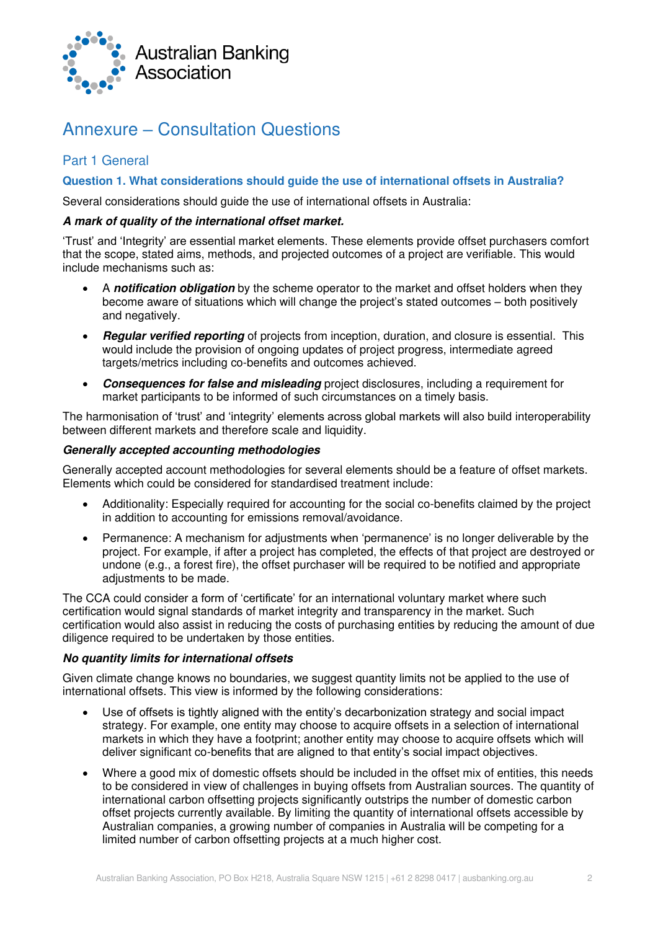

# Annexure – Consultation Questions

# Part 1 General

**Question 1. What considerations should guide the use of international offsets in Australia?** 

Several considerations should guide the use of international offsets in Australia:

#### **A mark of quality of the international offset market.**

'Trust' and 'Integrity' are essential market elements. These elements provide offset purchasers comfort that the scope, stated aims, methods, and projected outcomes of a project are verifiable. This would include mechanisms such as:

- A **notification obligation** by the scheme operator to the market and offset holders when they become aware of situations which will change the project's stated outcomes – both positively and negatively.
- **Regular verified reporting** of projects from inception, duration, and closure is essential. This would include the provision of ongoing updates of project progress, intermediate agreed targets/metrics including co-benefits and outcomes achieved.
- **Consequences for false and misleading** project disclosures, including a requirement for market participants to be informed of such circumstances on a timely basis.

The harmonisation of 'trust' and 'integrity' elements across global markets will also build interoperability between different markets and therefore scale and liquidity.

## **Generally accepted accounting methodologies**

Generally accepted account methodologies for several elements should be a feature of offset markets. Elements which could be considered for standardised treatment include:

- Additionality: Especially required for accounting for the social co-benefits claimed by the project in addition to accounting for emissions removal/avoidance.
- Permanence: A mechanism for adjustments when 'permanence' is no longer deliverable by the project. For example, if after a project has completed, the effects of that project are destroyed or undone (e.g., a forest fire), the offset purchaser will be required to be notified and appropriate adjustments to be made.

The CCA could consider a form of 'certificate' for an international voluntary market where such certification would signal standards of market integrity and transparency in the market. Such certification would also assist in reducing the costs of purchasing entities by reducing the amount of due diligence required to be undertaken by those entities.

#### **No quantity limits for international offsets**

Given climate change knows no boundaries, we suggest quantity limits not be applied to the use of international offsets. This view is informed by the following considerations:

- Use of offsets is tightly aligned with the entity's decarbonization strategy and social impact strategy. For example, one entity may choose to acquire offsets in a selection of international markets in which they have a footprint; another entity may choose to acquire offsets which will deliver significant co-benefits that are aligned to that entity's social impact objectives.
- Where a good mix of domestic offsets should be included in the offset mix of entities, this needs to be considered in view of challenges in buying offsets from Australian sources. The quantity of international carbon offsetting projects significantly outstrips the number of domestic carbon offset projects currently available. By limiting the quantity of international offsets accessible by Australian companies, a growing number of companies in Australia will be competing for a limited number of carbon offsetting projects at a much higher cost.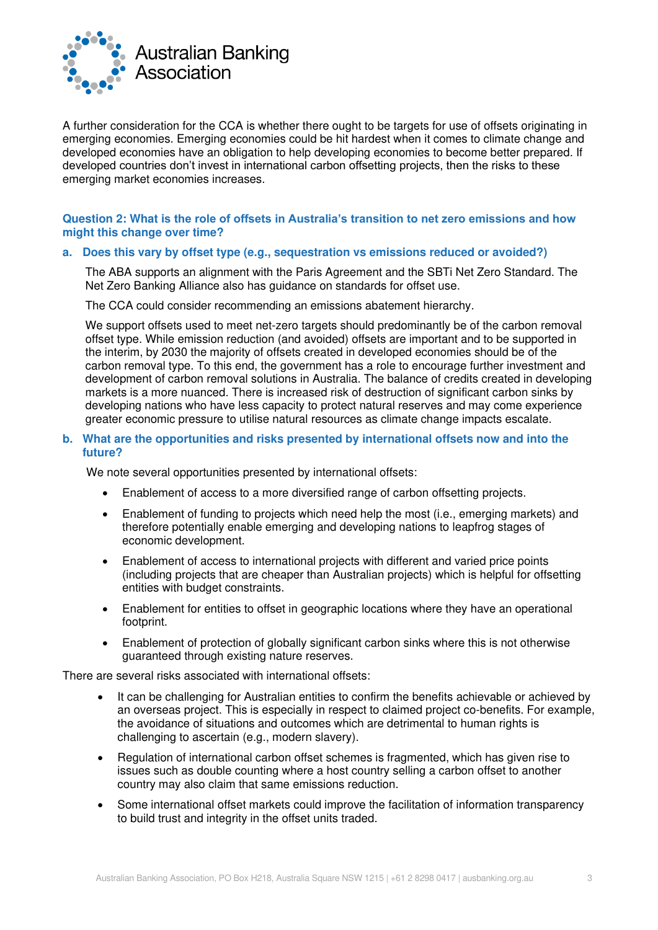

A further consideration for the CCA is whether there ought to be targets for use of offsets originating in emerging economies. Emerging economies could be hit hardest when it comes to climate change and developed economies have an obligation to help developing economies to become better prepared. If developed countries don't invest in international carbon offsetting projects, then the risks to these emerging market economies increases.

#### **Question 2: What is the role of offsets in Australia's transition to net zero emissions and how might this change over time?**

#### **a. Does this vary by offset type (e.g., sequestration vs emissions reduced or avoided?)**

The ABA supports an alignment with the Paris Agreement and the SBTi Net Zero Standard. The Net Zero Banking Alliance also has guidance on standards for offset use.

The CCA could consider recommending an emissions abatement hierarchy.

We support offsets used to meet net-zero targets should predominantly be of the carbon removal offset type. While emission reduction (and avoided) offsets are important and to be supported in the interim, by 2030 the majority of offsets created in developed economies should be of the carbon removal type. To this end, the government has a role to encourage further investment and development of carbon removal solutions in Australia. The balance of credits created in developing markets is a more nuanced. There is increased risk of destruction of significant carbon sinks by developing nations who have less capacity to protect natural reserves and may come experience greater economic pressure to utilise natural resources as climate change impacts escalate.

#### **b. What are the opportunities and risks presented by international offsets now and into the future?**

We note several opportunities presented by international offsets:

- Enablement of access to a more diversified range of carbon offsetting projects.
- Enablement of funding to projects which need help the most (i.e., emerging markets) and therefore potentially enable emerging and developing nations to leapfrog stages of economic development.
- Enablement of access to international projects with different and varied price points (including projects that are cheaper than Australian projects) which is helpful for offsetting entities with budget constraints.
- Enablement for entities to offset in geographic locations where they have an operational footprint.
- Enablement of protection of globally significant carbon sinks where this is not otherwise guaranteed through existing nature reserves.

There are several risks associated with international offsets:

- It can be challenging for Australian entities to confirm the benefits achievable or achieved by an overseas project. This is especially in respect to claimed project co-benefits. For example, the avoidance of situations and outcomes which are detrimental to human rights is challenging to ascertain (e.g., modern slavery).
- Regulation of international carbon offset schemes is fragmented, which has given rise to issues such as double counting where a host country selling a carbon offset to another country may also claim that same emissions reduction.
- Some international offset markets could improve the facilitation of information transparency to build trust and integrity in the offset units traded.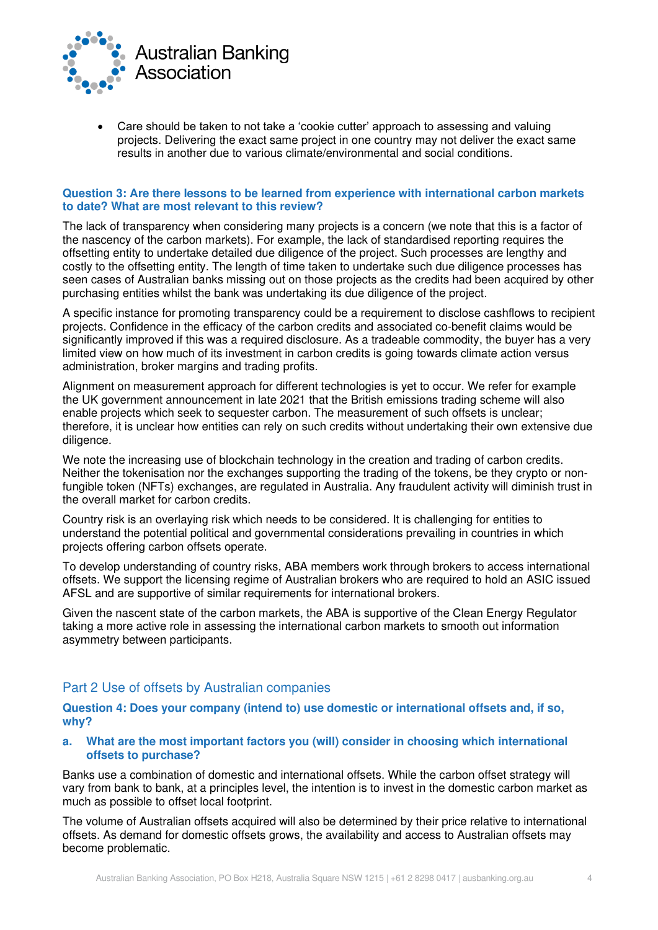

• Care should be taken to not take a 'cookie cutter' approach to assessing and valuing projects. Delivering the exact same project in one country may not deliver the exact same results in another due to various climate/environmental and social conditions.

#### **Question 3: Are there lessons to be learned from experience with international carbon markets to date? What are most relevant to this review?**

The lack of transparency when considering many projects is a concern (we note that this is a factor of the nascency of the carbon markets). For example, the lack of standardised reporting requires the offsetting entity to undertake detailed due diligence of the project. Such processes are lengthy and costly to the offsetting entity. The length of time taken to undertake such due diligence processes has seen cases of Australian banks missing out on those projects as the credits had been acquired by other purchasing entities whilst the bank was undertaking its due diligence of the project.

A specific instance for promoting transparency could be a requirement to disclose cashflows to recipient projects. Confidence in the efficacy of the carbon credits and associated co-benefit claims would be significantly improved if this was a required disclosure. As a tradeable commodity, the buyer has a very limited view on how much of its investment in carbon credits is going towards climate action versus administration, broker margins and trading profits.

Alignment on measurement approach for different technologies is yet to occur. We refer for example the UK government announcement in late 2021 that the British emissions trading scheme will also enable projects which seek to sequester carbon. The measurement of such offsets is unclear; therefore, it is unclear how entities can rely on such credits without undertaking their own extensive due diligence.

We note the increasing use of blockchain technology in the creation and trading of carbon credits. Neither the tokenisation nor the exchanges supporting the trading of the tokens, be they crypto or nonfungible token (NFTs) exchanges, are regulated in Australia. Any fraudulent activity will diminish trust in the overall market for carbon credits.

Country risk is an overlaying risk which needs to be considered. It is challenging for entities to understand the potential political and governmental considerations prevailing in countries in which projects offering carbon offsets operate.

To develop understanding of country risks, ABA members work through brokers to access international offsets. We support the licensing regime of Australian brokers who are required to hold an ASIC issued AFSL and are supportive of similar requirements for international brokers.

Given the nascent state of the carbon markets, the ABA is supportive of the Clean Energy Regulator taking a more active role in assessing the international carbon markets to smooth out information asymmetry between participants.

# Part 2 Use of offsets by Australian companies

**Question 4: Does your company (intend to) use domestic or international offsets and, if so, why?** 

#### **a. What are the most important factors you (will) consider in choosing which international offsets to purchase?**

Banks use a combination of domestic and international offsets. While the carbon offset strategy will vary from bank to bank, at a principles level, the intention is to invest in the domestic carbon market as much as possible to offset local footprint.

The volume of Australian offsets acquired will also be determined by their price relative to international offsets. As demand for domestic offsets grows, the availability and access to Australian offsets may become problematic.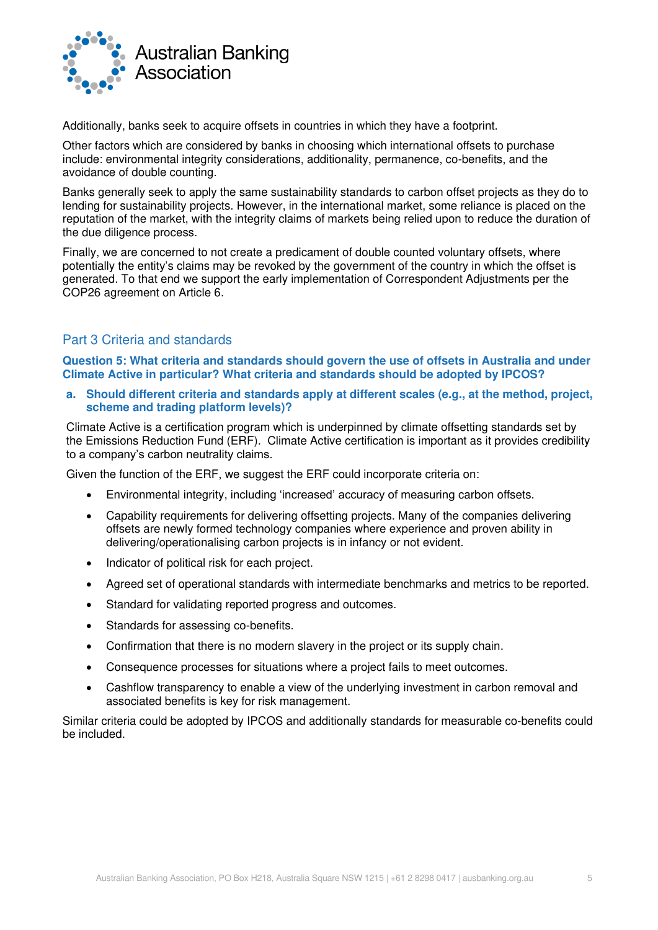

Additionally, banks seek to acquire offsets in countries in which they have a footprint.

Other factors which are considered by banks in choosing which international offsets to purchase include: environmental integrity considerations, additionality, permanence, co-benefits, and the avoidance of double counting.

Banks generally seek to apply the same sustainability standards to carbon offset projects as they do to lending for sustainability projects. However, in the international market, some reliance is placed on the reputation of the market, with the integrity claims of markets being relied upon to reduce the duration of the due diligence process.

Finally, we are concerned to not create a predicament of double counted voluntary offsets, where potentially the entity's claims may be revoked by the government of the country in which the offset is generated. To that end we support the early implementation of Correspondent Adjustments per the COP26 agreement on Article 6.

# Part 3 Criteria and standards

**Question 5: What criteria and standards should govern the use of offsets in Australia and under Climate Active in particular? What criteria and standards should be adopted by IPCOS?** 

**a. Should different criteria and standards apply at different scales (e.g., at the method, project, scheme and trading platform levels)?** 

Climate Active is a certification program which is underpinned by climate offsetting standards set by the Emissions Reduction Fund (ERF). Climate Active certification is important as it provides credibility to a company's carbon neutrality claims.

Given the function of the ERF, we suggest the ERF could incorporate criteria on:

- Environmental integrity, including 'increased' accuracy of measuring carbon offsets.
- Capability requirements for delivering offsetting projects. Many of the companies delivering offsets are newly formed technology companies where experience and proven ability in delivering/operationalising carbon projects is in infancy or not evident.
- Indicator of political risk for each project.
- Agreed set of operational standards with intermediate benchmarks and metrics to be reported.
- Standard for validating reported progress and outcomes.
- Standards for assessing co-benefits.
- Confirmation that there is no modern slavery in the project or its supply chain.
- Consequence processes for situations where a project fails to meet outcomes.
- Cashflow transparency to enable a view of the underlying investment in carbon removal and associated benefits is key for risk management.

Similar criteria could be adopted by IPCOS and additionally standards for measurable co-benefits could be included.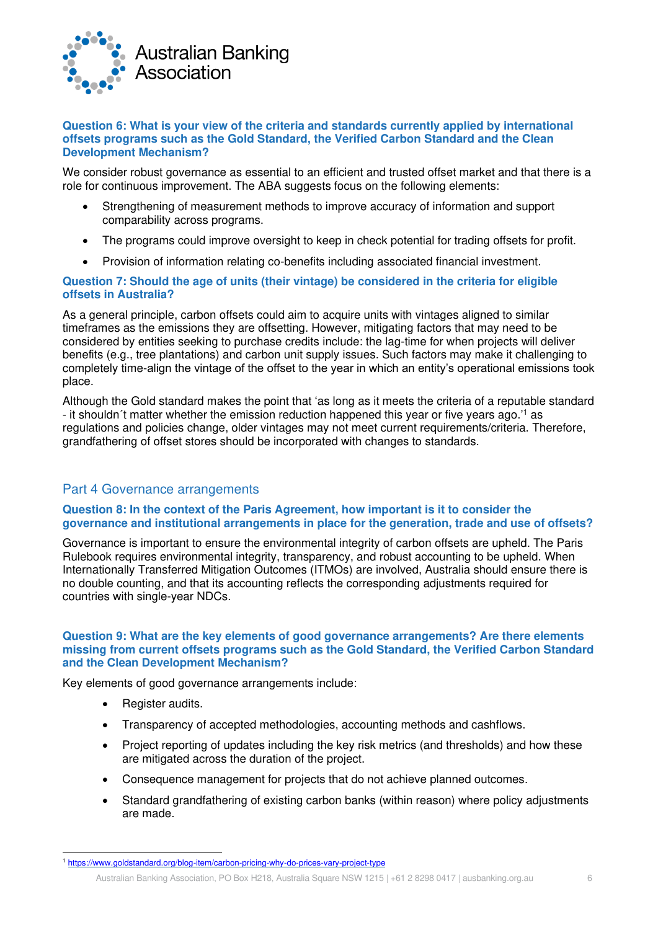

#### **Question 6: What is your view of the criteria and standards currently applied by international offsets programs such as the Gold Standard, the Verified Carbon Standard and the Clean Development Mechanism?**

We consider robust governance as essential to an efficient and trusted offset market and that there is a role for continuous improvement. The ABA suggests focus on the following elements:

- Strengthening of measurement methods to improve accuracy of information and support comparability across programs.
- The programs could improve oversight to keep in check potential for trading offsets for profit.
- Provision of information relating co-benefits including associated financial investment.

#### **Question 7: Should the age of units (their vintage) be considered in the criteria for eligible offsets in Australia?**

As a general principle, carbon offsets could aim to acquire units with vintages aligned to similar timeframes as the emissions they are offsetting. However, mitigating factors that may need to be considered by entities seeking to purchase credits include: the lag-time for when projects will deliver benefits (e.g., tree plantations) and carbon unit supply issues. Such factors may make it challenging to completely time-align the vintage of the offset to the year in which an entity's operational emissions took place.

Although the Gold standard makes the point that 'as long as it meets the criteria of a reputable standard - it shouldn't matter whether the emission reduction happened this year or five years ago.'<sup>1</sup> as regulations and policies change, older vintages may not meet current requirements/criteria. Therefore, grandfathering of offset stores should be incorporated with changes to standards.

## Part 4 Governance arrangements

#### **Question 8: In the context of the Paris Agreement, how important is it to consider the governance and institutional arrangements in place for the generation, trade and use of offsets?**

Governance is important to ensure the environmental integrity of carbon offsets are upheld. The Paris Rulebook requires environmental integrity, transparency, and robust accounting to be upheld. When Internationally Transferred Mitigation Outcomes (ITMOs) are involved, Australia should ensure there is no double counting, and that its accounting reflects the corresponding adjustments required for countries with single-year NDCs.

#### **Question 9: What are the key elements of good governance arrangements? Are there elements missing from current offsets programs such as the Gold Standard, the Verified Carbon Standard and the Clean Development Mechanism?**

Key elements of good governance arrangements include:

- Register audits.
- Transparency of accepted methodologies, accounting methods and cashflows.
- Project reporting of updates including the key risk metrics (and thresholds) and how these are mitigated across the duration of the project.
- Consequence management for projects that do not achieve planned outcomes.
- Standard grandfathering of existing carbon banks (within reason) where policy adjustments are made.

<sup>1</sup> <https://www.goldstandard.org/blog-item/carbon-pricing-why-do-prices-vary-project-type>

Australian Banking Association, PO Box H218, Australia Square NSW 1215 | +61 2 8298 0417 | ausbanking.org.au 6